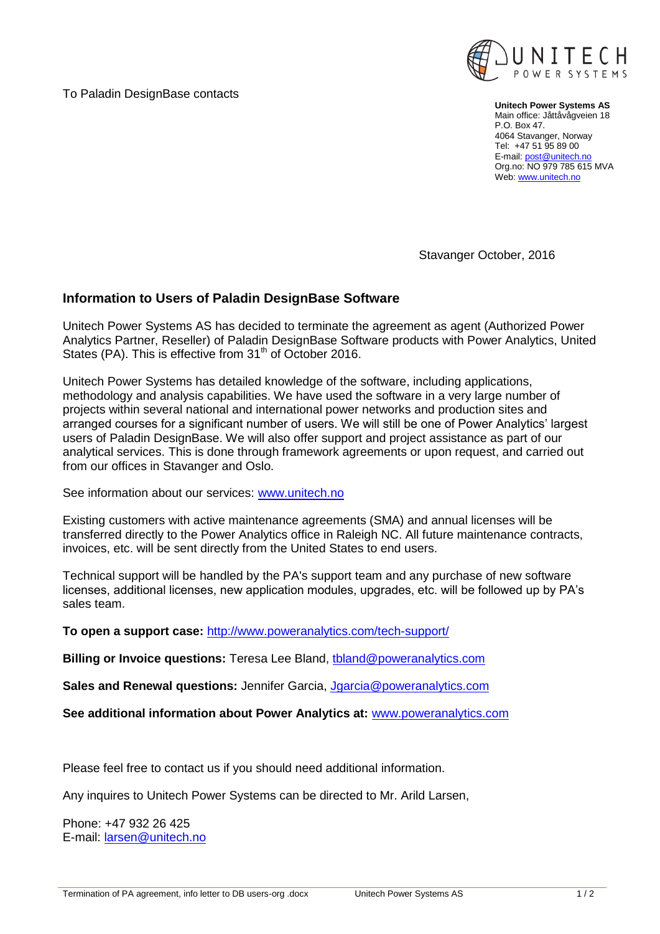To Paladin DesignBase contacts



**Unitech Power Systems AS** Main office: Jåttåvågveien 18 P.O. Box 47. 4064 Stavanger, Norway Tel: +47 51 95 89 00 E-mail[: post@unitech.no](mailto:post@unitech.no) Org.no: NO 979 785 615 MVA Web[: www.unitech.no](http://www.unitech.no/)

Stavanger October, 2016

## **Information to Users of Paladin DesignBase Software**

Unitech Power Systems AS has decided to terminate the agreement as agent (Authorized Power Analytics Partner, Reseller) of Paladin DesignBase Software products with Power Analytics, United States (PA). This is effective from 31<sup>th</sup> of October 2016.

Unitech Power Systems has detailed knowledge of the software, including applications, methodology and analysis capabilities. We have used the software in a very large number of projects within several national and international power networks and production sites and arranged courses for a significant number of users. We will still be one of Power Analytics' largest users of Paladin DesignBase. We will also offer support and project assistance as part of our analytical services. This is done through framework agreements or upon request, and carried out from our offices in Stavanger and Oslo.

See information about our services: [www.unitech.no](http://www.unitech.no/)

Existing customers with active maintenance agreements (SMA) and annual licenses will be transferred directly to the Power Analytics office in Raleigh NC. All future maintenance contracts, invoices, etc. will be sent directly from the United States to end users.

Technical support will be handled by the PA's support team and any purchase of new software licenses, additional licenses, new application modules, upgrades, etc. will be followed up by PA's sales team.

**To open a support case:** <http://www.poweranalytics.com/tech-support/>

**Billing or Invoice questions:** Teresa Lee Bland, *tbland@poweranalytics.com* 

**Sales and Renewal questions:** Jennifer Garcia, [Jgarcia@poweranalytics.com](mailto:Jgarcia@poweranalytics.com)

**See additional information about Power Analytics at:** [www.poweranalytics.com](http://www.poweranalytics.com/)

Please feel free to contact us if you should need additional information.

Any inquires to Unitech Power Systems can be directed to Mr. Arild Larsen,

Phone: +47 932 26 425 E-mail: [larsen@unitech.no](mailto:larsen@unitech.no)